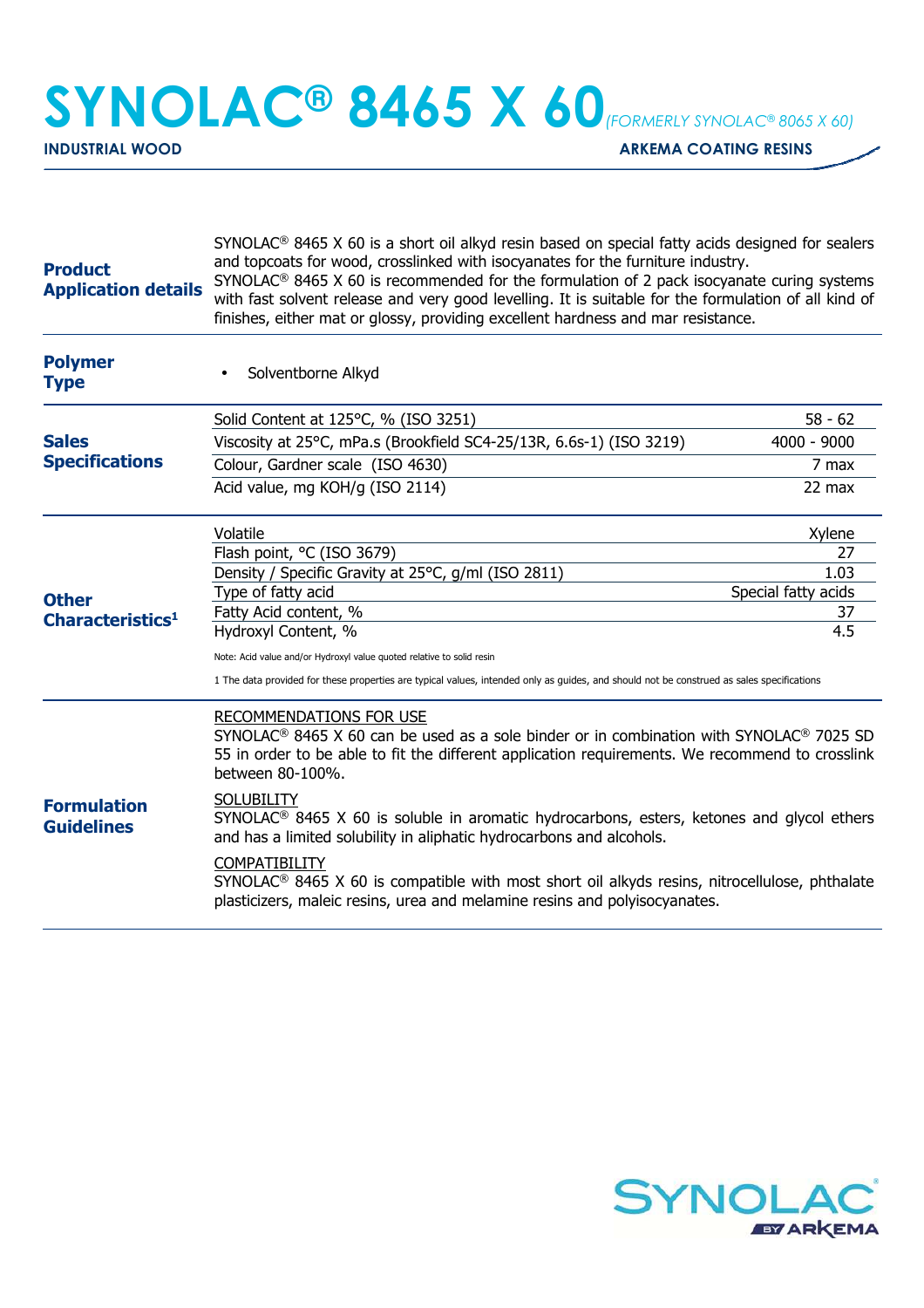## **SYNOLAC® 8465 X 60***(FORMERLY SYNOLAC® 8065 X 60)*

**INDUSTRIAL WOOD** ARKEMA COATING RESINS

| <b>Product</b><br><b>Application details</b> | $SYNOLAC®$ 8465 X 60 is a short oil alkyd resin based on special fatty acids designed for sealers<br>and topcoats for wood, crosslinked with isocyanates for the furniture industry.<br>SYNOLAC <sup>®</sup> 8465 X 60 is recommended for the formulation of 2 pack isocyanate curing systems<br>with fast solvent release and very good levelling. It is suitable for the formulation of all kind of<br>finishes, either mat or glossy, providing excellent hardness and mar resistance.                                                                                         |                           |  |
|----------------------------------------------|-----------------------------------------------------------------------------------------------------------------------------------------------------------------------------------------------------------------------------------------------------------------------------------------------------------------------------------------------------------------------------------------------------------------------------------------------------------------------------------------------------------------------------------------------------------------------------------|---------------------------|--|
| <b>Polymer</b><br><b>Type</b>                | Solventborne Alkyd                                                                                                                                                                                                                                                                                                                                                                                                                                                                                                                                                                |                           |  |
| <b>Sales</b><br><b>Specifications</b>        | Solid Content at 125°C, % (ISO 3251)                                                                                                                                                                                                                                                                                                                                                                                                                                                                                                                                              | $58 - 62$                 |  |
|                                              | Viscosity at 25°C, mPa.s (Brookfield SC4-25/13R, 6.6s-1) (ISO 3219)                                                                                                                                                                                                                                                                                                                                                                                                                                                                                                               | 4000 - 9000               |  |
|                                              | Colour, Gardner scale (ISO 4630)                                                                                                                                                                                                                                                                                                                                                                                                                                                                                                                                                  | 7 max                     |  |
|                                              | Acid value, mg KOH/g (ISO 2114)                                                                                                                                                                                                                                                                                                                                                                                                                                                                                                                                                   | 22 max                    |  |
| <b>Other</b><br>Characteristics <sup>1</sup> | Volatile                                                                                                                                                                                                                                                                                                                                                                                                                                                                                                                                                                          | Xylene                    |  |
|                                              | Flash point, °C (ISO 3679)                                                                                                                                                                                                                                                                                                                                                                                                                                                                                                                                                        | 27                        |  |
|                                              | Density / Specific Gravity at 25°C, g/ml (ISO 2811)                                                                                                                                                                                                                                                                                                                                                                                                                                                                                                                               | 1.03                      |  |
|                                              | Type of fatty acid<br>Fatty Acid content, %                                                                                                                                                                                                                                                                                                                                                                                                                                                                                                                                       | Special fatty acids<br>37 |  |
|                                              | Hydroxyl Content, %                                                                                                                                                                                                                                                                                                                                                                                                                                                                                                                                                               | 4.5                       |  |
|                                              | Note: Acid value and/or Hydroxyl value quoted relative to solid resin                                                                                                                                                                                                                                                                                                                                                                                                                                                                                                             |                           |  |
|                                              | 1 The data provided for these properties are typical values, intended only as guides, and should not be construed as sales specifications                                                                                                                                                                                                                                                                                                                                                                                                                                         |                           |  |
| <b>Formulation</b><br><b>Guidelines</b>      | RECOMMENDATIONS FOR USE<br>SYNOLAC <sup>®</sup> 8465 X 60 can be used as a sole binder or in combination with SYNOLAC <sup>®</sup> 7025 SD<br>55 in order to be able to fit the different application requirements. We recommend to crosslink<br>between 80-100%.<br><b>SOLUBILITY</b><br>$SYNOLAC®$ 8465 X 60 is soluble in aromatic hydrocarbons, esters, ketones and glycol ethers<br>and has a limited solubility in aliphatic hydrocarbons and alcohols.<br>COMPATIBILITY<br>$SYNOLAC®$ 8465 X 60 is compatible with most short oil alkyds resins, nitrocellulose, phthalate |                           |  |
|                                              | plasticizers, maleic resins, urea and melamine resins and polyisocyanates.                                                                                                                                                                                                                                                                                                                                                                                                                                                                                                        |                           |  |